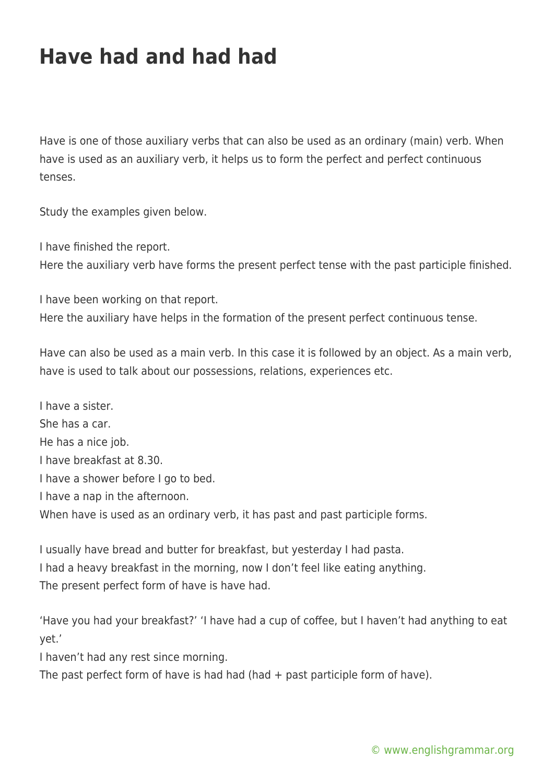## **Have had and had had**

Have is one of those auxiliary verbs that can also be used as an ordinary (main) verb. When have is used as an auxiliary verb, it helps us to form the perfect and perfect continuous tenses.

Study the examples given below.

I have finished the report.

Here the auxiliary verb have forms the present perfect tense with the past participle finished.

I have been working on that report.

Here the auxiliary have helps in the formation of the present perfect continuous tense.

Have can also be used as a main verb. In this case it is followed by an object. As a main verb, have is used to talk about our possessions, relations, experiences etc.

I have a sister. She has a car. He has a nice job. I have breakfast at 8.30. I have a shower before I go to bed. I have a nap in the afternoon. When have is used as an ordinary verb, it has past and past participle forms.

I usually have bread and butter for breakfast, but yesterday I had pasta. I had a heavy breakfast in the morning, now I don't feel like eating anything. The present perfect form of have is have had.

'Have you had your breakfast?' 'I have had a cup of coffee, but I haven't had anything to eat yet.'

I haven't had any rest since morning.

The past perfect form of have is had had (had + past participle form of have).